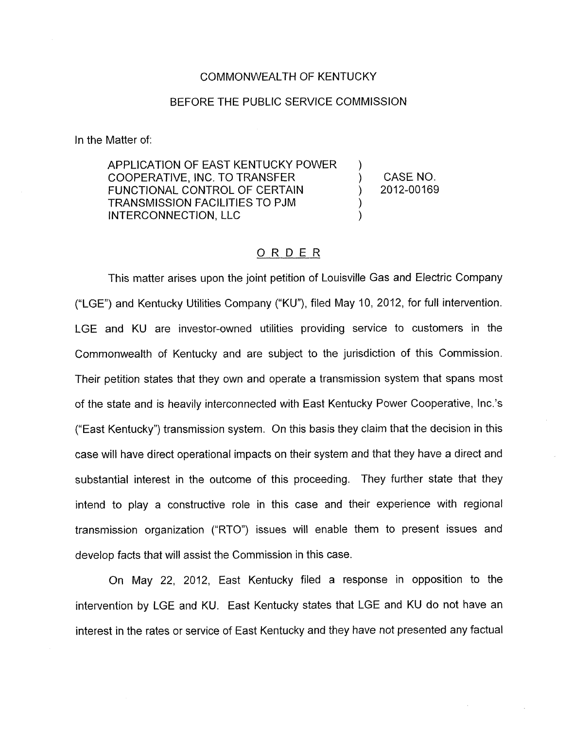## COMMONWEALTH OF KENTUCKY

## BEFORE THE PUBLIC SERVICE COMMISSION

In the Matter of:

APPLICATION OF EAST KENTUCKY POWER COOPERATIVE, INC. TO TRANSFER ) CASENO. FUNCTIONAL CONTROL OF CERTAIN (2012-00169) TRANSMISSION FACILITIES TO PJM ) INTERCONNECTION, LLC 1<br>
<u>
ORDER</u>

## ORDER

This matter arises upon the joint petition of Louisville Gas and Electric Company ("LGE") and Kentucky Utilities Company ("KU"), filed May 10, 2012, for full intervention. LGE and KU are investor-owned utilities providing service to customers in the Commonwealth of Kentucky and are subject to the jurisdiction of this Commission. Their petition states that they own and operate a transmission system that spans most of the state and is heavily interconnected with East Kentucky Power Cooperative, Inc.'s ("East Kentucky") transmission system. On this basis they claim that the decision in this case will have direct operational impacts on their system and that they have a direct and substantial interest in the outcome of this proceeding. They further state that they intend to play a constructive role in this case and their experience with regional transmission organization ("RTO") issues will enable them to present issues and develop facts that will assist the Commission in this case.

On May 22, 2012, East Kentucky filed a response in opposition to the intervention by LGE and KU. East Kentucky states that LGE and KU do not have an interest in the rates or service of East Kentucky and they have not presented any factual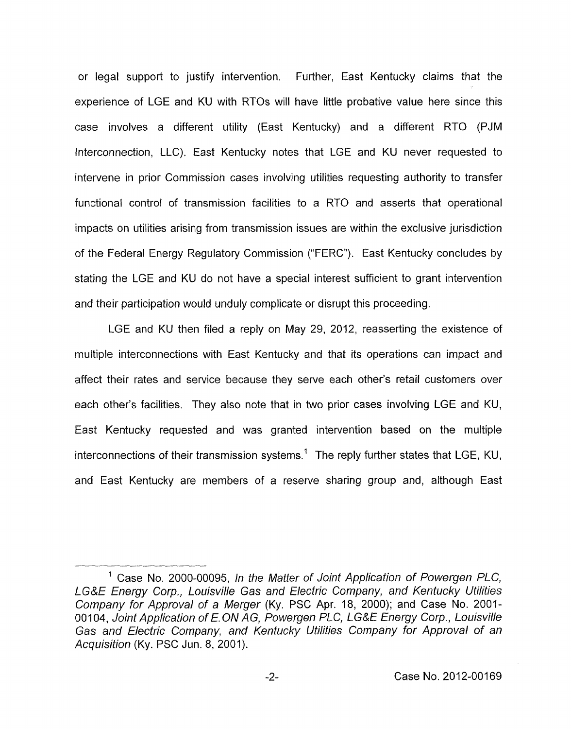or legal support to justify intervention. Further, East Kentucky claims that the experience of LGE and KU with RTOs will have little probative value here since this case involves a different utility (East Kentucky) and a different RTO (PJM Interconnection, LLC). East Kentucky notes that LGE and KU never requested to intervene in prior Commission cases involving utilities requesting authority to transfer functional control of transmission facilities to a RTO and asserts that operational impacts on utilities arising from transmission issues are within the exclusive jurisdiction of the Federal Energy Regulatory Commission ("FERC"). East Kentucky concludes by stating the LGE and KU do not have a special interest sufficient to grant intervention and their participation would unduly complicate or disrupt this proceeding.

LGE and KU then filed a reply on May 29, 2012, reasserting the existence of multiple interconnections with East Kentucky and that its operations can impact and affect their rates and service because they serve each other's retail customers over each other's facilities. They also note that in two prior cases involving LGE and KU, East Kentucky requested and was granted intervention based on the multiple interconnections of their transmission systems.<sup>1</sup> The reply further states that LGE, KU, and East Kentucky are members of a reserve sharing group and, although East

<sup>&</sup>lt;sup>1</sup> Case No. 2000-00095, *In the Matter of Joint Application of Powergen PLC*, *LG&E Energy Corp., Louisville Gas and Electric Company, and Kentucky Utilities Company for Approval of a Merger* (Ky. PSC Apr. 18, 2000); and Case No. 2001- 00104, *Joint Application of E. ON AG, Powergen PLC, LG&E Energy Corp., Louisville Gas and Electric Company, and Kentucky Utilities Company for Approval of an Acquisition* (Ky. PSC Jun. 8, 2001).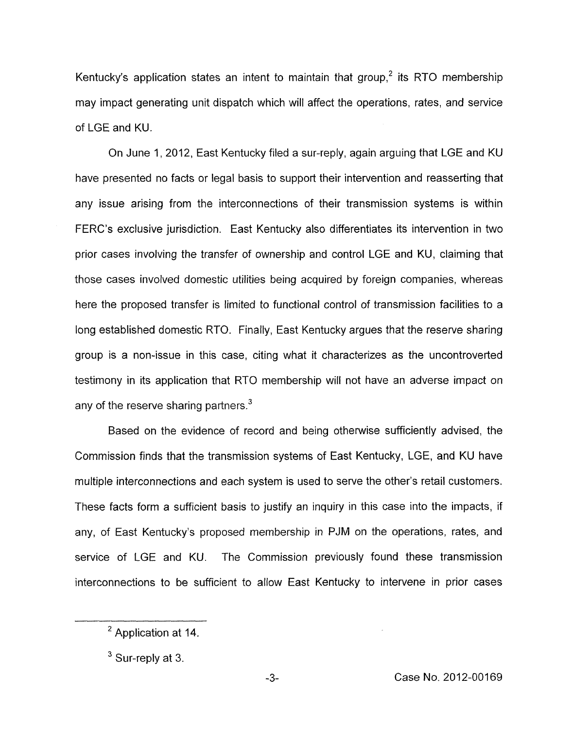Kentucky's application states an intent to maintain that group.<sup>2</sup> its RTO membership may impact generating unit dispatch which will affect the operations, rates, and service of LGE and KU.

On June 1, 2012, East Kentucky filed a sur-reply, again arguing that LGE and KU have presented no facts or legal basis to support their intervention and reasserting that any issue arising from the interconnections of their transmission systems is within FERC's exclusive jurisdiction. East Kentucky also differentiates its intervention in two prior cases involving the transfer of ownership and control LGE and KU, claiming that those cases involved domestic utilities being acquired by foreign companies, whereas here the proposed transfer is limited to functional control of transmission facilities to a long established domestic RTO. Finally, East Kentucky argues that the reserve sharing group is a non-issue in this case, citing what it characterizes as the uncontroverted testimony in its application that RTO membership will not have an adverse impact on any of the reserve sharing partners. $3$ 

Based on the evidence of record and being otherwise sufficiently advised, the Commission finds that the transmission systems of East Kentucky, LGE, and KU have multiple interconnections and each system is used to serve the other's retail customers. These facts form a sufficient basis to justify an inquiry in this case into the impacts, if any, of East Kentucky's proposed membership in PJM on the operations, rates, and service of LGE and KU. The Commission previously found these transmission interconnections to be sufficient to allow East Kentucky to intervene in prior cases

<sup>&</sup>lt;sup>2</sup> Application at 14.

<sup>&</sup>lt;sup>3</sup> Sur-reply at 3.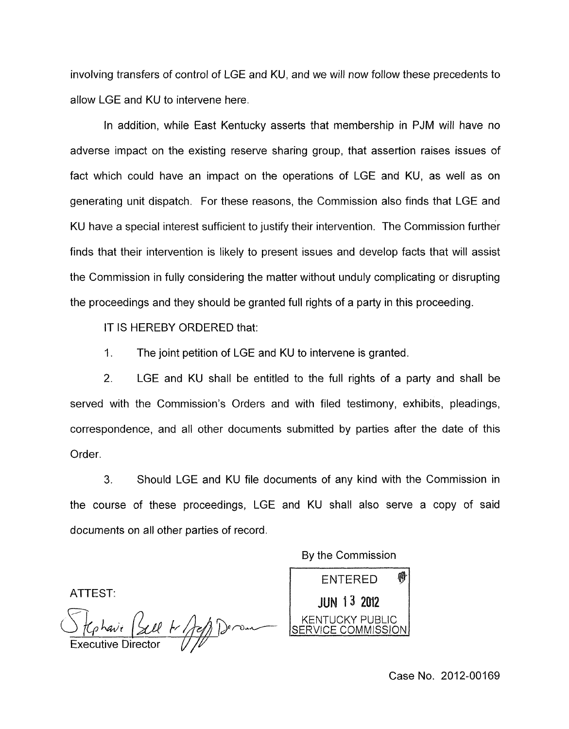involving transfers of control of LGE and KU, and we will now follow these precedents to allow LGE and KU to intervene here.

In addition, while East Kentucky asserts that membership in PJM will have no adverse impact on the existing reserve sharing group, that assertion raises issues of fact which could have an impact on the operations of LGE and KU, as well as on generating unit dispatch. For these reasons, the Commission also finds that LGE and KU have a special interest sufficient to justify their intervention. The Commission further finds that their intervention is likely to present issues and develop facts that will assist the Commission in fully considering the matter without unduly complicating or disrupting the proceedings and they should be granted full rights of a party in this proceeding.

IT IS HEREBY ORDERED that:

1. The joint petition of LGE and KU to intervene is granted.

2. LGE and KU shall be entitled to the full rights of a party and shall be served with the Commission's Orders and with filed testimony, exhibits, pleadings, correspondence, and all other documents submitted by parties after the date of this Order.

**3.** Should LGE and KU file documents of any kind with the Commission in the course of these proceedings, LGE and KU shall also serve a copy of said documents on all other parties of record.

By the Commission

ATTEST:

*t<sub>p</sub>havi (2014 / pop)* Derman<br>Versitive Director



Case No. 2012-00169